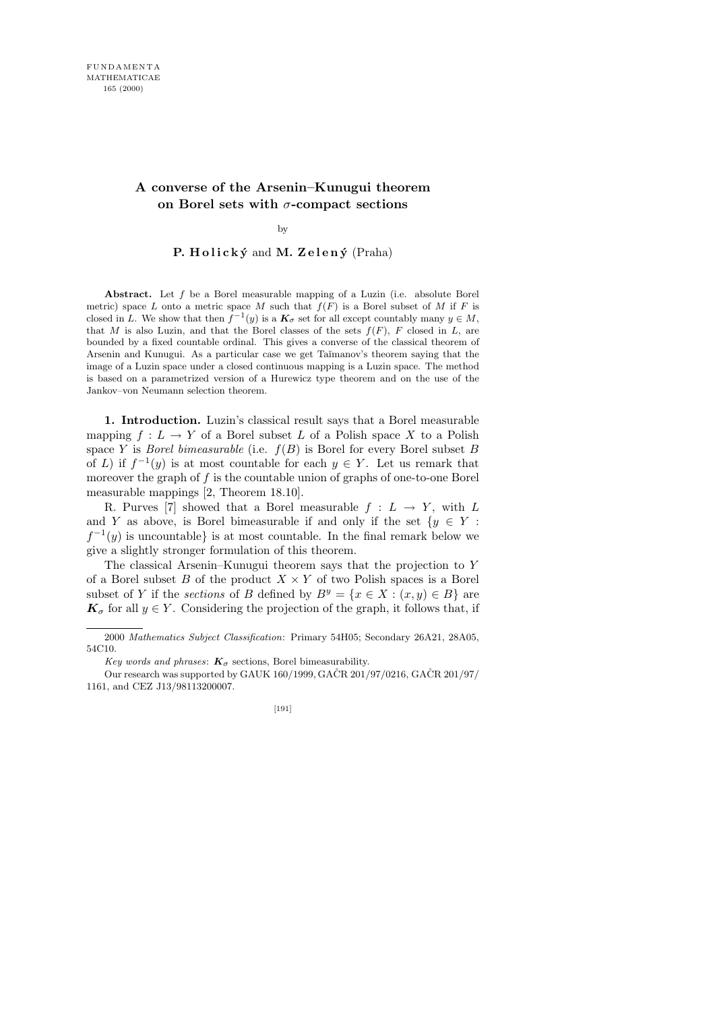## **A converse of the Arsenin–Kunugui theorem on Borel sets with** *σ***-compact sections**

by

## **P. Holický and M. Zelený (Praha)**

**Abstract.** Let *f* be a Borel measurable mapping of a Luzin (i.e. absolute Borel metric) space *L* onto a metric space *M* such that  $f(F)$  is a Borel subset of *M* if *F* is closed in *L*. We show that then  $f^{-1}(y)$  is a  $K_{\sigma}$  set for all except countably many  $y \in M$ , that *M* is also Luzin, and that the Borel classes of the sets  $f(F)$ , *F* closed in *L*, are bounded by a fixed countable ordinal. This gives a converse of the classical theorem of Arsenin and Kunugui. As a particular case we get Ta˘ımanov's theorem saying that the image of a Luzin space under a closed continuous mapping is a Luzin space. The method is based on a parametrized version of a Hurewicz type theorem and on the use of the Jankov–von Neumann selection theorem.

1. Introduction. Luzin's classical result says that a Borel measurable mapping  $f: L \to Y$  of a Borel subset L of a Polish space X to a Polish space Y is *Borel bimeasurable* (i.e.  $f(B)$  is Borel for every Borel subset B of L) if  $f^{-1}(y)$  is at most countable for each  $y \in Y$ . Let us remark that moreover the graph of  $f$  is the countable union of graphs of one-to-one Borel measurable mappings [2, Theorem 18.10].

R. Purves [7] showed that a Borel measurable  $f: L \to Y$ , with L and Y as above, is Borel bimeasurable if and only if the set  $\{y \in Y :$  $f^{-1}(y)$  is uncountable} is at most countable. In the final remark below we give a slightly stronger formulation of this theorem.

The classical Arsenin–Kunugui theorem says that the projection to Y of a Borel subset B of the product  $X \times Y$  of two Polish spaces is a Borel subset of Y if the sections of B defined by  $B^y = \{x \in X : (x, y) \in B\}$  are  $K_{\sigma}$  for all  $y \in Y$ . Considering the projection of the graph, it follows that, if

<sup>2000</sup> *Mathematics Subject Classification*: Primary 54H05; Secondary 26A21, 28A05, 54C10.

*Key words and phrases:*  $K_{\sigma}$  sections, Borel bimeasurability.

Our research was supported by GAUK 160/1999, GAČR 201/97/0216, GAČR 201/97/ 1161, and CEZ J13/98113200007.

<sup>[191]</sup>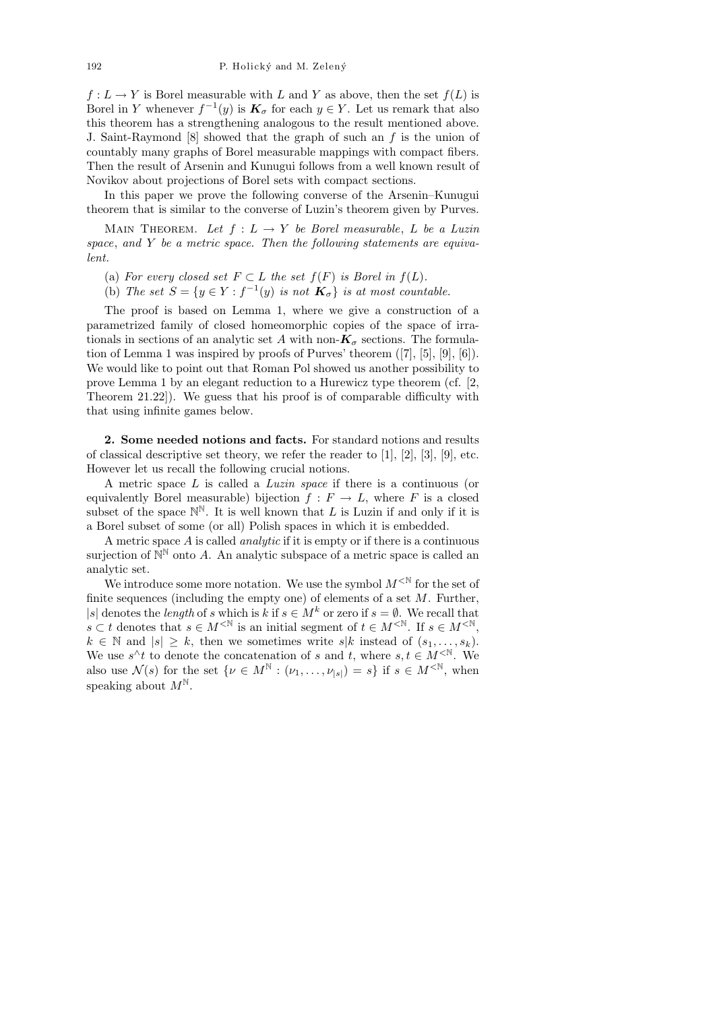$f: L \to Y$  is Borel measurable with L and Y as above, then the set  $f(L)$  is Borel in Y whenever  $f^{-1}(y)$  is  $\mathbf{K}_{\sigma}$  for each  $y \in Y$ . Let us remark that also this theorem has a strengthening analogous to the result mentioned above. J. Saint-Raymond  $[8]$  showed that the graph of such an f is the union of countably many graphs of Borel measurable mappings with compact fibers. Then the result of Arsenin and Kunugui follows from a well known result of Novikov about projections of Borel sets with compact sections.

In this paper we prove the following converse of the Arsenin–Kunugui theorem that is similar to the converse of Luzin's theorem given by Purves.

MAIN THEOREM. Let  $f: L \to Y$  be Borel measurable, L be a Luzin space, and Y be a metric space. Then the following statements are equivalent.

- (a) For every closed set  $F \subset L$  the set  $f(F)$  is Borel in  $f(L)$ .
- (b) The set  $S = \{y \in Y : f^{-1}(y)$  is not  $\mathbf{K}_{\sigma}\}\$ is at most countable.

The proof is based on Lemma 1, where we give a construction of a parametrized family of closed homeomorphic copies of the space of irrationals in sections of an analytic set A with non- $K_{\sigma}$  sections. The formulation of Lemma 1 was inspired by proofs of Purves' theorem ([7], [5], [9], [6]). We would like to point out that Roman Pol showed us another possibility to prove Lemma 1 by an elegant reduction to a Hurewicz type theorem (cf. [2, Theorem 21.22]). We guess that his proof is of comparable difficulty with that using infinite games below.

2. Some needed notions and facts. For standard notions and results of classical descriptive set theory, we refer the reader to [1], [2], [3], [9], etc. However let us recall the following crucial notions.

A metric space L is called a Luzin space if there is a continuous (or equivalently Borel measurable) bijection  $f : F \to L$ , where F is a closed subset of the space  $\mathbb{N}^{\mathbb{N}}$ . It is well known that L is Luzin if and only if it is a Borel subset of some (or all) Polish spaces in which it is embedded.

A metric space A is called analytic if it is empty or if there is a continuous surjection of  $\mathbb{N}^{\mathbb{N}}$  onto A. An analytic subspace of a metric space is called an analytic set.

We introduce some more notation. We use the symbol  $M^{\leq N}$  for the set of finite sequences (including the empty one) of elements of a set  $M$ . Further, |s| denotes the *length* of s which is k if  $s \in M^k$  or zero if  $s = \emptyset$ . We recall that  $s \subset t$  denotes that  $s \in M^{< \mathbb{N}}$  is an initial segment of  $t \in M^{< \mathbb{N}}$ . If  $s \in M^{< \mathbb{N}}$ ,  $k \in \mathbb{N}$  and  $|s| \geq k$ , then we sometimes write  $s|k$  instead of  $(s_1, \ldots, s_k)$ . We use  $s^{\wedge}t$  to denote the concatenation of s and t, where  $s, t \in M^{\leq N}$ . We also use  $\mathcal{N}(s)$  for the set  $\{\nu \in M^{\mathbb{N}} : (\nu_1, \dots, \nu_{|s|}) = s\}$  if  $s \in M^{\leq \mathbb{N}}$ , when speaking about  $M^{\mathbb{N}}$ .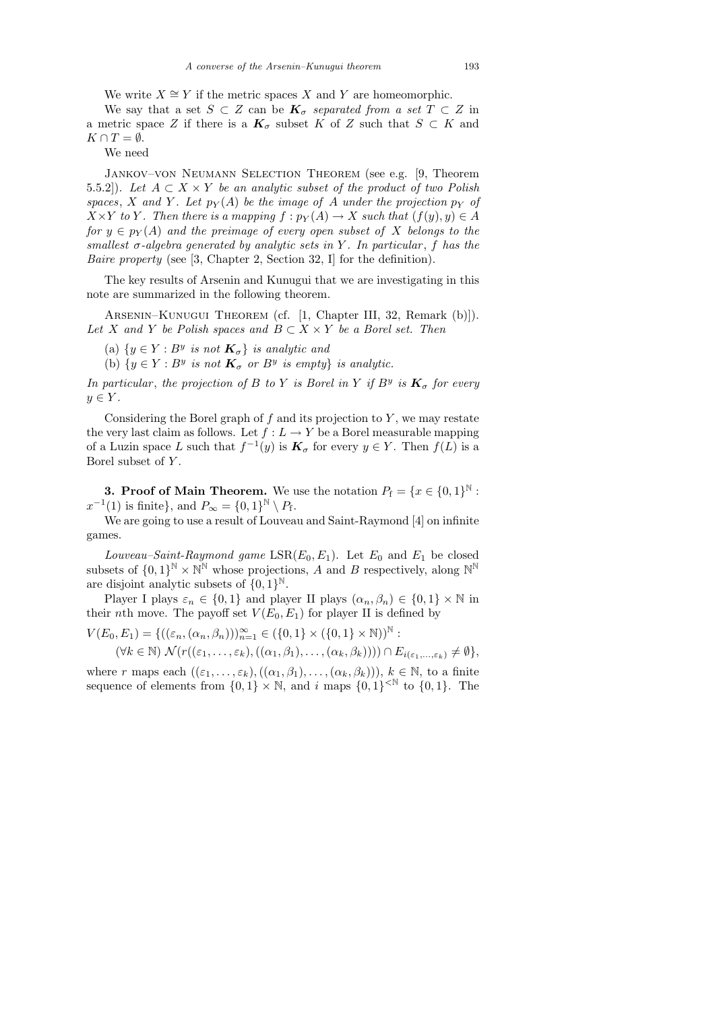We say that a set  $S \subset Z$  can be  $K_{\sigma}$  separated from a set  $T \subset Z$  in a metric space Z if there is a  $K_{\sigma}$  subset K of Z such that  $S \subset K$  and  $K \cap T = \emptyset.$ 

We need

Jankov–von Neumann Selection Theorem (see e.g. [9, Theorem 5.5.2]). Let  $A \subset X \times Y$  be an analytic subset of the product of two Polish spaces, X and Y. Let  $p_Y(A)$  be the image of A under the projection  $p_Y$  of  $X\times Y$  to Y. Then there is a mapping  $f: p_Y(A)\to X$  such that  $(f(y), y)\in A$ for  $y \in p_Y(A)$  and the preimage of every open subset of X belongs to the smallest  $\sigma$ -algebra generated by analytic sets in Y. In particular, f has the Baire property (see [3, Chapter 2, Section 32, I] for the definition).

The key results of Arsenin and Kunugui that we are investigating in this note are summarized in the following theorem.

Arsenin–Kunugui Theorem (cf. [1, Chapter III, 32, Remark (b)]). Let X and Y be Polish spaces and  $B \subset X \times Y$  be a Borel set. Then

- (a)  $\{y \in Y : B^y \text{ is not } \mathbf{K}_{\sigma}\}\$ is analytic and
- (b)  $\{y \in Y : B^y \text{ is not } K_\sigma \text{ or } B^y \text{ is empty} \}$  is analytic.

In particular, the projection of B to Y is Borel in Y if  $B<sup>y</sup>$  is  $K<sub>\sigma</sub>$  for every  $y \in Y$ .

Considering the Borel graph of  $f$  and its projection to  $Y$ , we may restate the very last claim as follows. Let  $f: L \to Y$  be a Borel measurable mapping of a Luzin space L such that  $f^{-1}(y)$  is  $\mathbf{K}_{\sigma}$  for every  $y \in Y$ . Then  $f(L)$  is a Borel subset of Y.

**3. Proof of Main Theorem.** We use the notation  $P_f = \{x \in \{0,1\}^{\mathbb{N}} : f(x) = f(x) \}$  $x^{-1}(1)$  is finite}, and  $P_{\infty} = \{0, 1\}^{\mathbb{N}} \setminus P_{f}$ .

We are going to use a result of Louveau and Saint-Raymond [4] on infinite games.

Louveau–Saint-Raymond game  $LSR(E_0, E_1)$ . Let  $E_0$  and  $E_1$  be closed subsets of  $\{0,1\}^{\mathbb{N}} \times \mathbb{N}^{\mathbb{N}}$  whose projections, A and B respectively, along  $\mathbb{N}^{\mathbb{N}}$ are disjoint analytic subsets of  $\{0,1\}^{\mathbb{N}}$ .

Player I plays  $\varepsilon_n \in \{0,1\}$  and player II plays  $(\alpha_n, \beta_n) \in \{0,1\} \times \mathbb{N}$  in their *n*th move. The payoff set  $V(E_0, E_1)$  for player II is defined by

$$
V(E_0, E_1) = \{ ((\varepsilon_n, (\alpha_n, \beta_n)))_{n=1}^{\infty} \in (\{0, 1\} \times (\{0, 1\} \times \mathbb{N}))^{\mathbb{N}} : (\forall k \in \mathbb{N}) \ \mathcal{N}(r((\varepsilon_1, \ldots, \varepsilon_k), ((\alpha_1, \beta_1), \ldots, (\alpha_k, \beta_k)))) \cap E_{i(\varepsilon_1, \ldots, \varepsilon_k)} \neq \emptyset \},
$$

where r maps each  $((\varepsilon_1,\ldots,\varepsilon_k),((\alpha_1,\beta_1),\ldots,(\alpha_k,\beta_k)))$ ,  $k\in\mathbb{N}$ , to a finite sequence of elements from  $\{0,1\} \times \mathbb{N}$ , and i maps  $\{0,1\}^{<\mathbb{N}}$  to  $\{0,1\}$ . The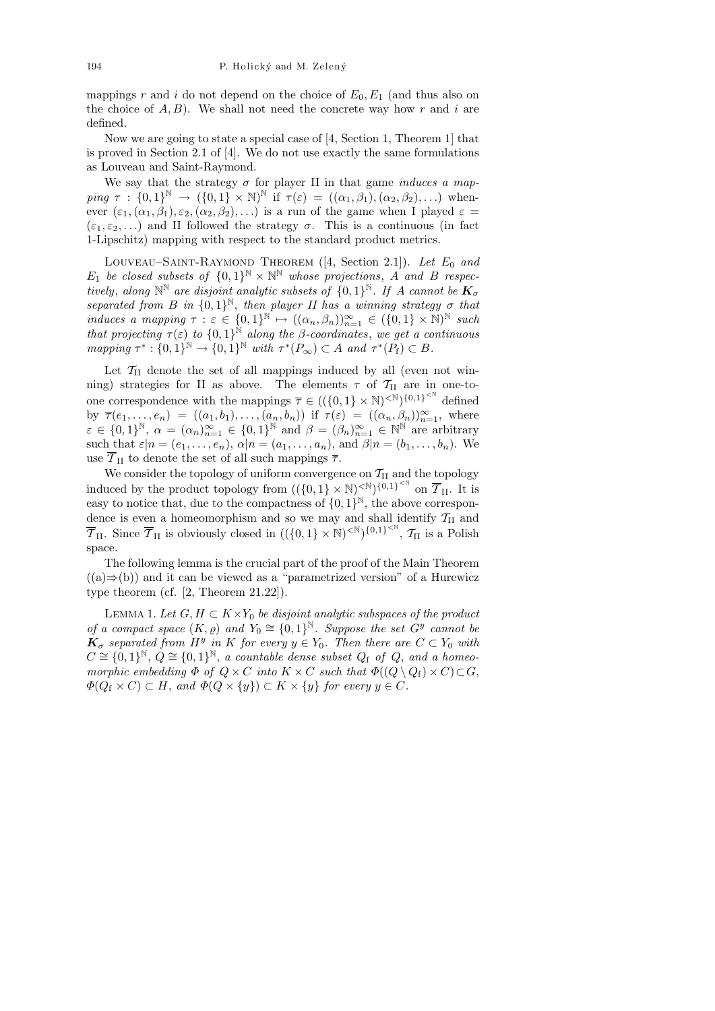mappings r and i do not depend on the choice of  $E_0, E_1$  (and thus also on the choice of  $A, B$ ). We shall not need the concrete way how r and i are defined.

Now we are going to state a special case of [4, Section 1, Theorem 1] that is proved in Section 2.1 of [4]. We do not use exactly the same formulations as Louveau and Saint-Raymond.

We say that the strategy  $\sigma$  for player II in that game *induces a map*ping  $\tau : \{0,1\}^{\mathbb{N}} \to (\{0,1\}^{\mathbb{N}} \times \mathbb{N})^{\mathbb{N}}$  if  $\tau(\varepsilon) = ((\alpha_1,\beta_1),(\alpha_2,\beta_2),\ldots)$  whenever  $(\varepsilon_1,(\alpha_1,\beta_1),\varepsilon_2,(\alpha_2,\beta_2),\ldots)$  is a run of the game when I played  $\varepsilon =$  $(\varepsilon_1, \varepsilon_2, \ldots)$  and II followed the strategy  $\sigma$ . This is a continuous (in fact 1-Lipschitz) mapping with respect to the standard product metrics.

LOUVEAU–SAINT-RAYMOND THEOREM ([4, Section 2.1]). Let  $E_0$  and  $E_1$  be closed subsets of  $\{0,1\}^{\mathbb{N}} \times \mathbb{N}^{\mathbb{N}}$  whose projections, A and B respectively, along  $\mathbb{N}^{\mathbb{N}}$  are disjoint analytic subsets of  $\{0,1\}^{\mathbb{N}}$ . If A cannot be  $\mathbf{K}_{\sigma}$ separated from B in  ${0,1}^{\mathbb{N}}$ , then player II has a winning strategy  $\sigma$  that induces a mapping  $\tau : \varepsilon \in \{0,1\}^{\mathbb{N}} \mapsto ((\alpha_n,\beta_n))_{n=1}^{\infty} \in (\{0,1\} \times \mathbb{N})^{\mathbb{N}}$  such that projecting  $\tau(\varepsilon)$  to  $\{0,1\}^{\tilde{N}}$  along the  $\beta$ -coordinates, we get a continuous mapping  $\tau^* : \{0,1\}^{\mathbb{N}} \to \{0,1\}^{\mathbb{N}}$  with  $\tau^*(P_{\infty}) \subset A$  and  $\tau^*(P_f) \subset B$ .

Let  $\mathcal{T}_{II}$  denote the set of all mappings induced by all (even not winning) strategies for II as above. The elements  $\tau$  of  $\mathcal{T}_{II}$  are in one-toone correspondence with the mappings  $\overline{\tau} \in ((\{0,1\} \times \mathbb{N})^{\leq N})^{\{0,1\}^{\leq N}}$  defined by  $\overline{\tau}(e_1,\ldots,e_n) = ((a_1,b_1),\ldots,(a_n,b_n))$  if  $\tau(\varepsilon) = ((\alpha_n,\beta_n))_{n=1}^{\infty}$ , where  $\varepsilon \in \{0,1\}^{\mathbb{N}}, \ \alpha = (\alpha_n)_{n=1}^{\infty} \in \{0,1\}^{\mathbb{N}}$  and  $\beta = (\beta_n)_{n=1}^{\infty} \in \mathbb{N}^{\mathbb{N}}$  are arbitrary such that  $\varepsilon|n = (e_1, \ldots, e_n)$ ,  $\alpha|n = (a_1, \ldots, a_n)$ , and  $\beta|n = (b_1, \ldots, b_n)$ . We use  $\overline{T}_{\rm II}$  to denote the set of all such mappings  $\overline{\tau}$ .

We consider the topology of uniform convergence on  $\mathcal{T}_{II}$  and the topology induced by the product topology from  $((\{0,1\} \times \mathbb{N})^{\leq \mathbb{N}})^{\{0,1\}^{\leq \mathbb{N}}}$  on  $\overline{\mathcal{T}}_{II}$ . It is easy to notice that, due to the compactness of  $\{0,1\}^{\mathbb{N}}$ , the above correspondence is even a homeomorphism and so we may and shall identify  $\mathcal{T}_{II}$  and  $\overline{\mathcal{T}}_{II}$ . Since  $\overline{\mathcal{T}}_{II}$  is obviously closed in  $((\{0,1\}\times\mathbb{N})^{\leq \mathbb{N}})^{\{0,1\}^{\leq \mathbb{N}}}, \mathcal{T}_{II}$  is a Polish space.

The following lemma is the crucial part of the proof of the Main Theorem  $((a) \Rightarrow (b))$  and it can be viewed as a "parametrized version" of a Hurewicz type theorem (cf. [2, Theorem 21.22]).

LEMMA 1. Let  $G, H \subset K \times Y_0$  be disjoint analytic subspaces of the product of a compact space  $(K, \varrho)$  and  $Y_0 \cong \{0, 1\}^{\mathbb{N}}$ . Suppose the set  $G^y$  cannot be  $\mathbf{K}_{\sigma}$  separated from  $H^y$  in K for every  $y \in Y_0$ . Then there are  $C \subset Y_0$  with  $C \cong \{0,1\}^{\mathbb{N}}, Q \cong \{0,1\}^{\mathbb{N}},$  a countable dense subset  $Q_f$  of  $Q$ , and a homeomorphic embedding  $\Phi$  of  $Q \times C$  into  $K \times C$  such that  $\Phi((Q \setminus Q_f) \times C) \subset G$ ,  $\Phi(Q_f \times C) \subset H$ , and  $\Phi(Q \times \{y\}) \subset K \times \{y\}$  for every  $y \in C$ .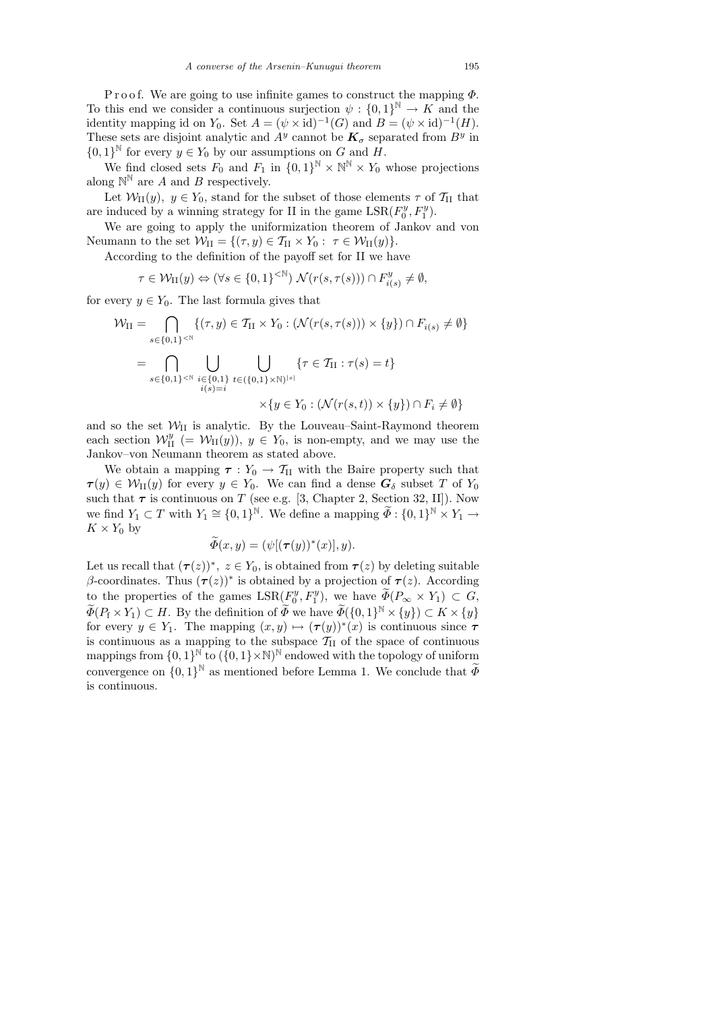P r o o f. We are going to use infinite games to construct the mapping  $\Phi$ . To this end we consider a continuous surjection  $\psi: \{0,1\}^{\mathbb{N}} \to K$  and the identity mapping id on  $Y_0$ . Set  $A = (\psi \times id)^{-1}(G)$  and  $B = (\psi \times id)^{-1}(H)$ . These sets are disjoint analytic and  $A<sup>y</sup>$  cannot be  $\mathbf{K}_{\sigma}$  separated from  $B<sup>y</sup>$  in  $\{0,1\}^{\mathbb{N}}$  for every  $y \in Y_0$  by our assumptions on G and H.

We find closed sets  $F_0$  and  $F_1$  in  $\{0,1\}^{\mathbb{N}} \times \mathbb{N}^{\mathbb{N}} \times Y_0$  whose projections along  $\mathbb{N}^{\mathbb{N}}$  are A and B respectively.

Let  $\mathcal{W}_{\text{II}}(y)$ ,  $y \in Y_0$ , stand for the subset of those elements  $\tau$  of  $\mathcal{T}_{\text{II}}$  that are induced by a winning strategy for II in the game  $LSR(F_0^y)$  $C_0^y, F_1^y$ .

We are going to apply the uniformization theorem of Jankov and von Neumann to the set  $\mathcal{W}_{II} = \{(\tau, y) \in \mathcal{T}_{II} \times Y_0 : \ \tau \in \mathcal{W}_{II}(y)\}.$ 

According to the definition of the payoff set for II we have

$$
\tau \in \mathcal{W}_{\mathrm{II}}(y) \Leftrightarrow (\forall s \in \{0,1\}^{< \mathbb{N}}) \mathcal{N}(r(s,\tau(s))) \cap F_{i(s)}^y \neq \emptyset,
$$

for every  $y \in Y_0$ . The last formula gives that

$$
\mathcal{W}_{II} = \bigcap_{s \in \{0,1\}^{< \mathbb{N}}} \{(\tau, y) \in \mathcal{T}_{II} \times Y_0 : (\mathcal{N}(r(s, \tau(s))) \times \{y\}) \cap F_{i(s)} \neq \emptyset\}
$$
\n
$$
= \bigcap_{s \in \{0,1\}^{< \mathbb{N}}} \bigcup_{\substack{i \in \{0,1\} \\ i(s) = i}} \bigcup_{t \in (\{0,1\} \times \mathbb{N})^{|s|}} \{\tau \in \mathcal{T}_{II} : \tau(s) = t\}
$$
\n
$$
\times \{y \in Y_0 : (\mathcal{N}(r(s, t)) \times \{y\}) \cap F_i \neq \emptyset\}
$$

and so the set  $W_{II}$  is analytic. By the Louveau–Saint-Raymond theorem each section  $\mathcal{W}_{II}^y$  (=  $\mathcal{W}_{II}(y)$ ),  $y \in Y_0$ , is non-empty, and we may use the Jankov–von Neumann theorem as stated above.

We obtain a mapping  $\tau: Y_0 \to T_{II}$  with the Baire property such that  $\tau(y) \in \mathcal{W}_{\text{II}}(y)$  for every  $y \in Y_0$ . We can find a dense  $G_\delta$  subset T of  $Y_0$ such that  $\tau$  is continuous on T (see e.g. [3, Chapter 2, Section 32, II]). Now we find  $Y_1 \subset T$  with  $Y_1 \cong \{0,1\}^{\mathbb{N}}$ . We define a mapping  $\widetilde{\Phi} : \{0,1\}^{\mathbb{N}} \times Y_1 \to Y_2$  $K \times Y_0$  by

$$
\widetilde{\Phi}(x,y)=(\psi[(\boldsymbol{\tau}(y))^*(x)],y).
$$

Let us recall that  $(\tau(z))^*$ ,  $z \in Y_0$ , is obtained from  $\tau(z)$  by deleting suitable β-coordinates. Thus  $(τ(z))^*$  is obtained by a projection of  $τ(z)$ . According to the properties of the games  $LSR(F_0^y)$  $(\widetilde{p}_0^y, F_1^y),$  we have  $\widetilde{\Phi}(P_{\infty} \times Y_1) \subset G,$  $\widetilde{\Phi}(P_f \times Y_1) \subset H$ . By the definition of  $\widetilde{\Phi}$  we have  $\widetilde{\Phi}(\{0,1\}^{\mathbb{N}} \times \{y\}) \subset K \times \{y\}$ for every  $y \in Y_1$ . The mapping  $(x, y) \mapsto (\tau(y))^*(x)$  is continuous since  $\tau$ is continuous as a mapping to the subspace  $\mathcal{T}_{II}$  of the space of continuous mappings from  $\{0,1\}^{\mathbb{N}}$  to  $(\{0,1\}\times\mathbb{N})^{\mathbb{N}}$  endowed with the topology of uniform convergence on  $\{0,1\}^{\mathbb{N}}$  as mentioned before Lemma 1. We conclude that  $\widetilde{\Phi}$ is continuous.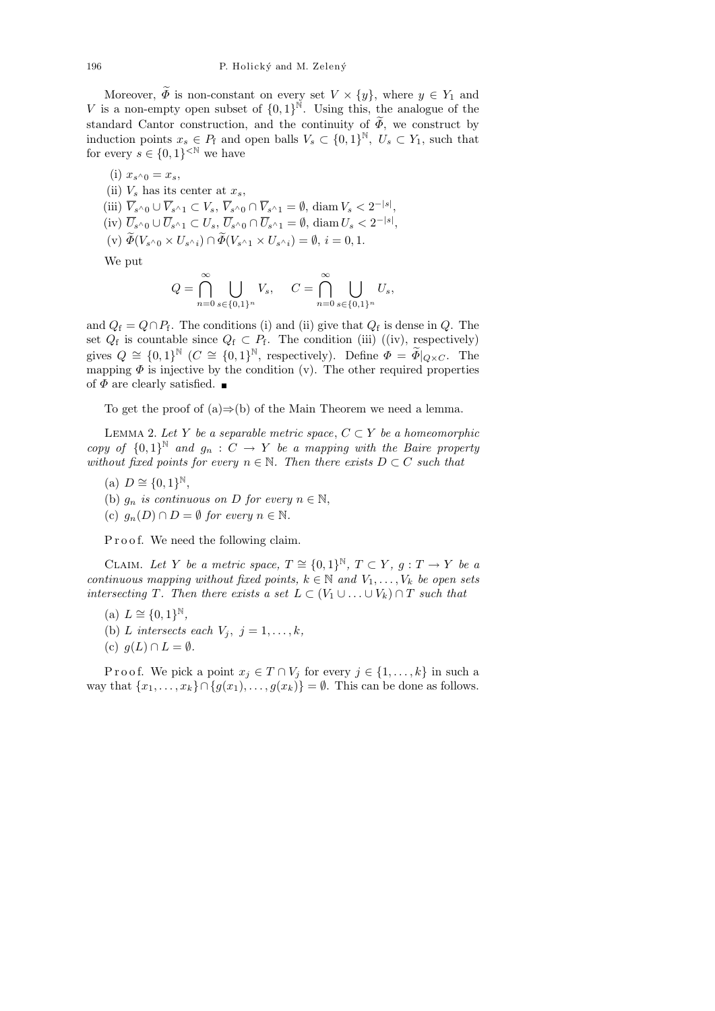Moreover,  $\widetilde{\Phi}$  is non-constant on every set  $V \times \{y\}$ , where  $y \in Y_1$  and V is a non-empty open subset of  $\{0,1\}^{\mathbb{N}}$ . Using this, the analogue of the standard Cantor construction, and the continuity of  $\widetilde{\Phi}$ , we construct by induction points  $x_s \in P_f$  and open balls  $V_s \subset \{0,1\}^{\mathbb{N}}, U_s \subset Y_1$ , such that for every  $s \in \{0,1\}^{\leq \mathbb{N}}$  we have

- (i)  $x_{s^{\wedge}0} = x_s$ ,
- (ii)  $V_s$  has its center at  $x_s$ ,
- (iii)  $\overline{V}_{s^{\wedge}0} \cup \overline{V}_{s^{\wedge}1} \subset V_s$ ,  $\overline{V}_{s^{\wedge}0} \cap \overline{V}_{s^{\wedge}1} = \emptyset$ , diam  $V_s < 2^{-|s|}$ ,
- $(iv) \ \overline{U}_{s^{\wedge}0} \cup \overline{U}_{s^{\wedge}1} \subset U_s, \ \overline{U}_{s^{\wedge}0} \cap \overline{U}_{s^{\wedge}1} = \emptyset, \ \text{diam}\ U_s < 2^{-|s|},$
- (v)  $\widetilde{\Phi}(V_{s^{\wedge}0} \times U_{s^{\wedge}i}) \cap \widetilde{\Phi}(V_{s^{\wedge}1} \times U_{s^{\wedge}i}) = \emptyset, i = 0, 1.$

We put

$$
Q = \bigcap_{n=0}^{\infty} \bigcup_{s \in \{0,1\}^n} V_s, \quad C = \bigcap_{n=0}^{\infty} \bigcup_{s \in \{0,1\}^n} U_s,
$$

and  $Q_f = Q \cap P_f$ . The conditions (i) and (ii) give that  $Q_f$  is dense in  $Q$ . The set  $Q_f$  is countable since  $Q_f \subset P_f$ . The condition (iii) ((iv), respectively) gives  $Q \cong \{0,1\}^{\mathbb{N}}$   $(C \cong \{0,1\}^{\mathbb{N}}$ , respectively). Define  $\Phi = \widetilde{\Phi}|_{Q \times C}$ . The mapping  $\Phi$  is injective by the condition (v). The other required properties of  $\Phi$  are clearly satisfied.

To get the proof of  $(a) \Rightarrow (b)$  of the Main Theorem we need a lemma.

LEMMA 2. Let Y be a separable metric space,  $C \subset Y$  be a homeomorphic copy of  $\{0,1\}^{\mathbb{N}}$  and  $g_n$ :  $C \to Y$  be a mapping with the Baire property without fixed points for every  $n \in \mathbb{N}$ . Then there exists  $D \subset C$  such that

- (a)  $D \cong \{0,1\}^{\mathbb{N}},$
- (b)  $g_n$  is continuous on D for every  $n \in \mathbb{N}$ ,
- (c)  $g_n(D) \cap D = \emptyset$  for every  $n \in \mathbb{N}$ .

Proof. We need the following claim.

CLAIM. Let Y be a metric space,  $T \cong \{0,1\}^{\mathbb{N}}, T \subset Y, g: T \to Y$  be a continuous mapping without fixed points,  $k \in \mathbb{N}$  and  $V_1, \ldots, V_k$  be open sets intersecting T. Then there exists a set  $L \subset (V_1 \cup \ldots \cup V_k) \cap T$  such that

- (a)  $L \cong \{0,1\}^{\mathbb{N}},$
- (b) L intersects each  $V_j$ ,  $j = 1, \ldots, k$ ,
- (c)  $g(L) \cap L = \emptyset$ .

P r o o f. We pick a point  $x_j \in T \cap V_j$  for every  $j \in \{1, ..., k\}$  in such a way that  $\{x_1, \ldots, x_k\} \cap \{g(x_1), \ldots, g(x_k)\} = \emptyset$ . This can be done as follows.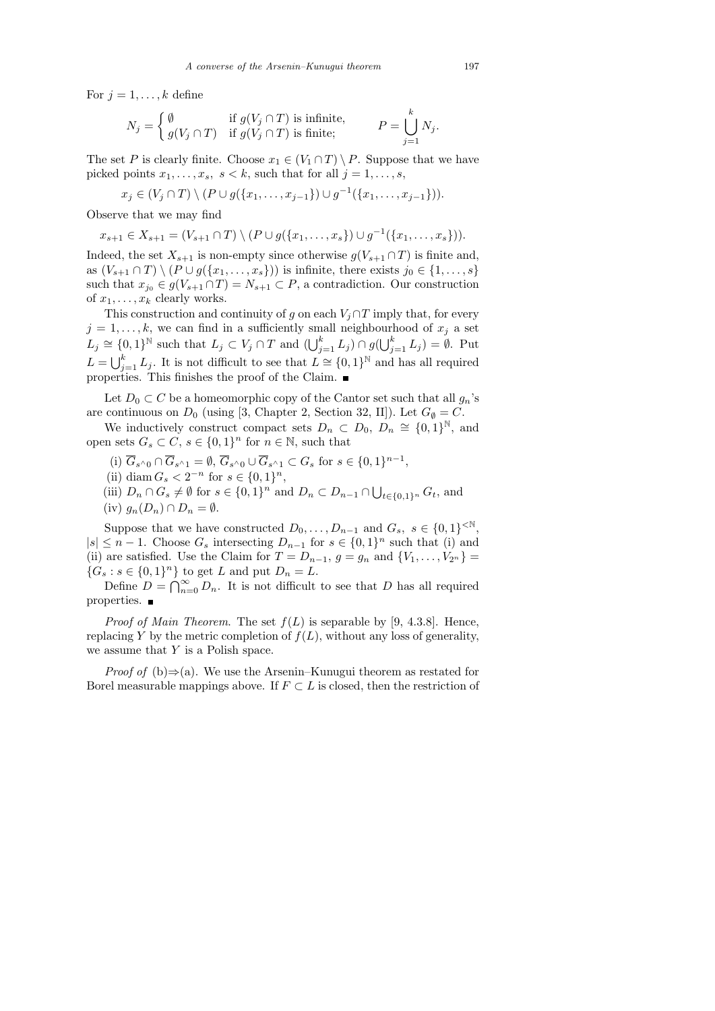For  $j = 1, \ldots, k$  define

$$
N_j = \begin{cases} \emptyset & \text{if } g(V_j \cap T) \text{ is infinite,} \\ g(V_j \cap T) & \text{if } g(V_j \cap T) \text{ is finite;} \end{cases} \qquad P = \bigcup_{j=1}^k N_j.
$$

The set P is clearly finite. Choose  $x_1 \in (V_1 \cap T) \setminus P$ . Suppose that we have picked points  $x_1, \ldots, x_s, s < k$ , such that for all  $j = 1, \ldots, s$ ,

$$
x_j \in (V_j \cap T) \setminus (P \cup g(\{x_1, \ldots, x_{j-1}\}) \cup g^{-1}(\{x_1, \ldots, x_{j-1}\})).
$$

Observe that we may find

$$
x_{s+1} \in X_{s+1} = (V_{s+1} \cap T) \setminus (P \cup g(\{x_1, \ldots, x_s\}) \cup g^{-1}(\{x_1, \ldots, x_s\})).
$$

Indeed, the set  $X_{s+1}$  is non-empty since otherwise  $g(V_{s+1} \cap T)$  is finite and, as  $(V_{s+1}\cap T)\setminus (P\cup g(\lbrace x_1,\ldots,x_s\rbrace))$  is infinite, there exists  $j_0\in\lbrace 1,\ldots,s\rbrace$ such that  $x_{j_0} \in g(V_{s+1} \cap T) = N_{s+1} \subset P$ , a contradiction. Our construction of  $x_1, \ldots, x_k$  clearly works.

This construction and continuity of g on each  $V_i \cap T$  imply that, for every  $j = 1, \ldots, k$ , we can find in a sufficiently small neighbourhood of  $x_i$  a set  $L_j \cong \{0,1\}^{\mathbb{N}}$  such that  $L_j \subset V_j \cap T$  and  $(\bigcup_{j=1}^k L_j) \cap g(\bigcup_{j=1}^k L_j) = \emptyset$ . Put  $L = \bigcup_{j=1}^{k} L_j$ . It is not difficult to see that  $L \cong \{0,1\}^{\mathbb{N}}$  and has all required properties. This finishes the proof of the Claim.

Let  $D_0 \subset C$  be a homeomorphic copy of the Cantor set such that all  $g_n$ 's are continuous on  $D_0$  (using [3, Chapter 2, Section 32, II]). Let  $G_{\emptyset} = C$ .

We inductively construct compact sets  $D_n \subset D_0$ ,  $D_n \cong \{0,1\}^{\mathbb{N}},$  and open sets  $G_s \subset C, s \in \{0,1\}^n$  for  $n \in \mathbb{N}$ , such that

(i)  $\overline{G}_{s^{\wedge}0} \cap \overline{G}_{s^{\wedge}1} = \emptyset$ ,  $\overline{G}_{s^{\wedge}0} \cup \overline{G}_{s^{\wedge}1} \subset G_s$  for  $s \in \{0,1\}^{n-1}$ ,

(ii) diam  $G_s < 2^{-n}$  for  $s \in \{0, 1\}^n$ ,

(iii)  $D_n \cap G_s \neq \emptyset$  for  $s \in \{0,1\}^n$  and  $D_n \subset D_{n-1} \cap \bigcup_{t \in \{0,1\}^n} G_t$ , and (iv)  $g_n(D_n) \cap D_n = \emptyset$ .

Suppose that we have constructed  $D_0, \ldots, D_{n-1}$  and  $G_s, s \in \{0,1\}^{\leq N}$ ,  $|s| \leq n-1$ . Choose  $G_s$  intersecting  $D_{n-1}$  for  $s \in \{0,1\}^n$  such that (i) and (ii) are satisfied. Use the Claim for  $T = D_{n-1}$ ,  $g = g_n$  and  $\{V_1, \ldots, V_{2^n}\}$  ${G_s : s \in \{0,1\}^n}$  to get L and put  $D_n = L$ .

Define  $D = \bigcap_{n=0}^{\infty} D_n$ . It is not difficult to see that D has all required properties.

*Proof of Main Theorem.* The set  $f(L)$  is separable by [9, 4.3.8]. Hence, replacing Y by the metric completion of  $f(L)$ , without any loss of generality, we assume that  $Y$  is a Polish space.

*Proof of* (b) $\Rightarrow$ (a). We use the Arsenin–Kunugui theorem as restated for Borel measurable mappings above. If  $F \subset L$  is closed, then the restriction of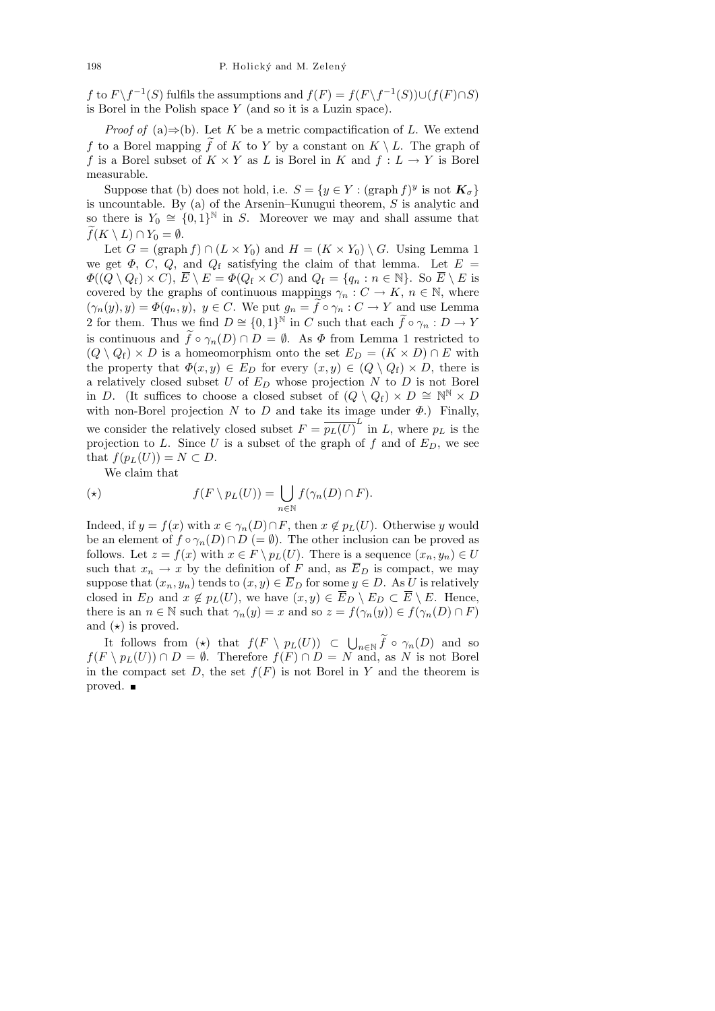f to  $F \setminus f^{-1}(S)$  fulfils the assumptions and  $f(F) = f(F \setminus f^{-1}(S)) \cup (f(F) \cap S)$ is Borel in the Polish space Y (and so it is a Luzin space).

*Proof of* (a) $\Rightarrow$ (b). Let K be a metric compactification of L. We extend f to a Borel mapping f of K to Y by a constant on  $K \setminus L$ . The graph of f is a Borel subset of  $K \times Y$  as L is Borel in K and  $f: L \to Y$  is Borel measurable.

Suppose that (b) does not hold, i.e.  $S = \{y \in Y : (\text{graph } f)^y \text{ is not } \mathbf{K}_{\sigma}\}\$ is uncountable. By (a) of the Arsenin–Kunugui theorem, S is analytic and so there is  $Y_0 \cong \{0,1\}^{\mathbb{N}}$  in S. Moreover we may and shall assume that  $f(K \setminus L) \cap Y_0 = \emptyset.$ 

Let  $G = (\text{graph } f) \cap (L \times Y_0)$  and  $H = (K \times Y_0) \setminus G$ . Using Lemma 1 we get  $\Phi$ , C, Q, and  $Q_f$  satisfying the claim of that lemma. Let  $E =$  $\Phi((Q \setminus Q_f) \times C), \overline{E} \setminus E = \Phi(Q_f \times C)$  and  $Q_f = \{q_n : n \in \mathbb{N}\}\$ . So  $\overline{E} \setminus E$  is covered by the graphs of continuous mappings  $\gamma_n : C \to K$ ,  $n \in \mathbb{N}$ , where  $(\gamma_n(y), y) = \Phi(q_n, y), y \in C.$  We put  $g_n = f \circ \gamma_n : C \to Y$  and use Lemma 2 for them. Thus we find  $D \cong \{0,1\}^{\mathbb{N}}$  in C such that each  $\widetilde{f} \circ \gamma_n : D \to Y$ is continuous and  $f \circ \gamma_n(D) \cap D = \emptyset$ . As  $\Phi$  from Lemma 1 restricted to  $(Q \setminus Q_f) \times D$  is a homeomorphism onto the set  $E_D = (K \times D) \cap E$  with the property that  $\Phi(x, y) \in E_D$  for every  $(x, y) \in (Q \setminus Q_f) \times D$ , there is a relatively closed subset U of  $E_D$  whose projection N to D is not Borel in D. (It suffices to choose a closed subset of  $(Q \setminus Q_f) \times D \cong \mathbb{N}^{\mathbb{N}} \times D$ with non-Borel projection  $N$  to  $D$  and take its image under  $\Phi$ .) Finally, we consider the relatively closed subset  $F = \overline{p_L(U)}^L$  in L, where  $p_L$  is the projection to L. Since U is a subset of the graph of f and of  $E_D$ , we see that  $f(p_L(U)) = N \subset D$ .

We claim that

$$
f(F \setminus p_L(U)) = \bigcup_{n \in \mathbb{N}} f(\gamma_n(D) \cap F).
$$

Indeed, if  $y = f(x)$  with  $x \in \gamma_n(D) \cap F$ , then  $x \notin p_L(U)$ . Otherwise y would be an element of  $f \circ \gamma_n(D) \cap D = \emptyset$ . The other inclusion can be proved as follows. Let  $z = f(x)$  with  $x \in F \setminus p_L(U)$ . There is a sequence  $(x_n, y_n) \in U$ such that  $x_n \to x$  by the definition of F and, as  $\overline{E}_D$  is compact, we may suppose that  $(x_n, y_n)$  tends to  $(x, y) \in \overline{E}_D$  for some  $y \in D$ . As U is relatively closed in  $E_D$  and  $x \notin p_L(U)$ , we have  $(x, y) \in \overline{E}_D \setminus E_D \subset \overline{E} \setminus E$ . Hence, there is an  $n \in \mathbb{N}$  such that  $\gamma_n(y) = x$  and so  $z = f(\gamma_n(y)) \in f(\gamma_n(D) \cap F)$ and  $(\star)$  is proved.

It follows from  $(\star)$  that  $f(F \setminus p_L(U)) \subset \bigcup_{n \in \mathbb{N}} f \circ \gamma_n(D)$  and so  $f(F \setminus p_L(U)) \cap D = \emptyset$ . Therefore  $f(F) \cap D = N$  and, as N is not Borel in the compact set  $D$ , the set  $f(F)$  is not Borel in Y and the theorem is proved. ■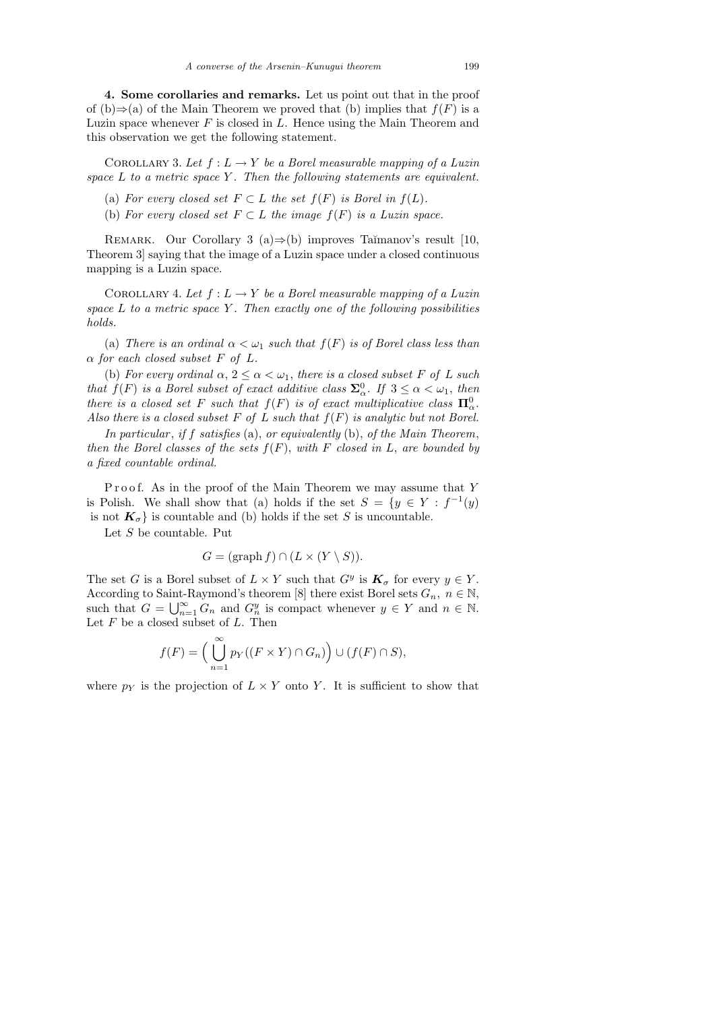4. Some corollaries and remarks. Let us point out that in the proof of (b)⇒(a) of the Main Theorem we proved that (b) implies that  $f(F)$  is a Luzin space whenever  $F$  is closed in  $L$ . Hence using the Main Theorem and this observation we get the following statement.

COROLLARY 3. Let  $f: L \to Y$  be a Borel measurable mapping of a Luzin space  $L$  to a metric space  $Y$ . Then the following statements are equivalent.

- (a) For every closed set  $F \subset L$  the set  $f(F)$  is Borel in  $f(L)$ .
- (b) For every closed set  $F \subset L$  the image  $f(F)$  is a Luzin space.

REMARK. Our Corollary 3 (a)⇒(b) improves Taĭmanov's result [10, Theorem 3] saying that the image of a Luzin space under a closed continuous mapping is a Luzin space.

COROLLARY 4. Let  $f: L \to Y$  be a Borel measurable mapping of a Luzin space  $L$  to a metric space  $Y$ . Then exactly one of the following possibilities holds.

(a) There is an ordinal  $\alpha < \omega_1$  such that  $f(F)$  is of Borel class less than  $\alpha$  for each closed subset F of L.

(b) For every ordinal  $\alpha$ ,  $2 \leq \alpha < \omega_1$ , there is a closed subset F of L such that  $f(F)$  is a Borel subset of exact additive class  $\Sigma^0_\alpha$ . If  $3 \leq \alpha < \omega_1$ , then there is a closed set F such that  $f(F)$  is of exact multiplicative class  $\mathbf{\Pi}^0_{\alpha}$ . Also there is a closed subset F of L such that  $f(F)$  is analytic but not Borel.

In particular, if f satisfies (a), or equivalently (b), of the Main Theorem, then the Borel classes of the sets  $f(F)$ , with F closed in L, are bounded by a fixed countable ordinal.

Proof. As in the proof of the Main Theorem we may assume that  $Y$ is Polish. We shall show that (a) holds if the set  $S = \{y \in Y : f^{-1}(y) \}$ is not  $K_{\sigma}$  is countable and (b) holds if the set S is uncountable.

Let  $S$  be countable. Put

$$
G = (\operatorname{graph} f) \cap (L \times (Y \setminus S)).
$$

The set G is a Borel subset of  $L \times Y$  such that  $G^y$  is  $\mathbf{K}_{\sigma}$  for every  $y \in Y$ . According to Saint-Raymond's theorem [8] there exist Borel sets  $G_n$ ,  $n \in \mathbb{N}$ , such that  $G = \bigcup_{n=1}^{\infty} G_n$  and  $G_n^y$  is compact whenever  $y \in Y$  and  $n \in \mathbb{N}$ . Let  $F$  be a closed subset of  $L$ . Then

$$
f(F) = \Big(\bigcup_{n=1}^{\infty} p_Y((F \times Y) \cap G_n)\Big) \cup (f(F) \cap S),
$$

where  $p_Y$  is the projection of  $L \times Y$  onto Y. It is sufficient to show that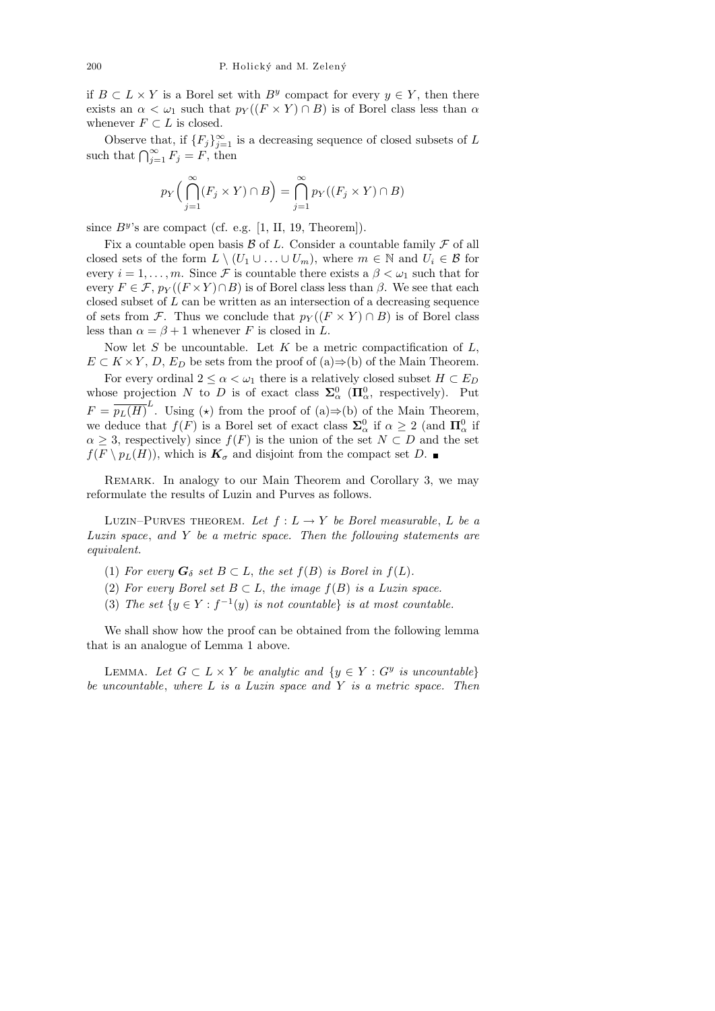if  $B \subset L \times Y$  is a Borel set with  $B<sup>y</sup>$  compact for every  $y \in Y$ , then there exists an  $\alpha < \omega_1$  such that  $p_Y((F \times Y) \cap B)$  is of Borel class less than  $\alpha$ whenever  $F \subset L$  is closed.

Observe that, if  ${F_j}_{j=1}^{\infty}$  is a decreasing sequence of closed subsets of L such that  $\bigcap_{j=1}^{\infty} F_j = F$ , then

$$
p_Y\Big(\bigcap_{j=1}^{\infty} (F_j \times Y) \cap B\Big) = \bigcap_{j=1}^{\infty} p_Y((F_j \times Y) \cap B)
$$

since  $B^y$ 's are compact (cf. e.g. [1, II, 19, Theorem]).

Fix a countable open basis  $\mathcal B$  of L. Consider a countable family  $\mathcal F$  of all closed sets of the form  $L \setminus (U_1 \cup \ldots \cup U_m)$ , where  $m \in \mathbb{N}$  and  $U_i \in \mathcal{B}$  for every  $i = 1, \ldots, m$ . Since F is countable there exists a  $\beta < \omega_1$  such that for every  $F \in \mathcal{F}$ ,  $p_Y((F \times Y) \cap B)$  is of Borel class less than  $\beta$ . We see that each closed subset of  $L$  can be written as an intersection of a decreasing sequence of sets from F. Thus we conclude that  $p_Y((F \times Y) \cap B)$  is of Borel class less than  $\alpha = \beta + 1$  whenever F is closed in L.

Now let S be uncountable. Let K be a metric compactification of  $L$ ,  $E \subset K \times Y$ , D,  $E_D$  be sets from the proof of (a) $\Rightarrow$ (b) of the Main Theorem.

For every ordinal  $2 \leq \alpha < \omega_1$  there is a relatively closed subset  $H \subset E_D$ whose projection N to D is of exact class  $\Sigma^0_\alpha$  ( $\Pi^0_\alpha$ , respectively). Put  $F = \overline{p_L(H)}^L$ . Using (\*) from the proof of (a)⇒(b) of the Main Theorem, we deduce that  $f(F)$  is a Borel set of exact class  $\Sigma^0_\alpha$  if  $\alpha \geq 2$  (and  $\Pi^0_\alpha$  if  $\alpha \geq 3$ , respectively) since  $f(F)$  is the union of the set  $N \subset D$  and the set  $f(F \setminus p_L(H))$ , which is  $K_{\sigma}$  and disjoint from the compact set D.

REMARK. In analogy to our Main Theorem and Corollary 3, we may reformulate the results of Luzin and Purves as follows.

LUZIN–PURVES THEOREM. Let  $f: L \to Y$  be Borel measurable, L be a Luzin space, and  $Y$  be a metric space. Then the following statements are equivalent.

- (1) For every  $G_{\delta}$  set  $B \subset L$ , the set  $f(B)$  is Borel in  $f(L)$ .
- (2) For every Borel set  $B \subset L$ , the image  $f(B)$  is a Luzin space.
- (3) The set  $\{y \in Y : f^{-1}(y)$  is not countable} is at most countable.

We shall show how the proof can be obtained from the following lemma that is an analogue of Lemma 1 above.

LEMMA. Let  $G \subset L \times Y$  be analytic and  $\{y \in Y : G^y$  is uncountable be uncountable, where  $L$  is a Luzin space and  $Y$  is a metric space. Then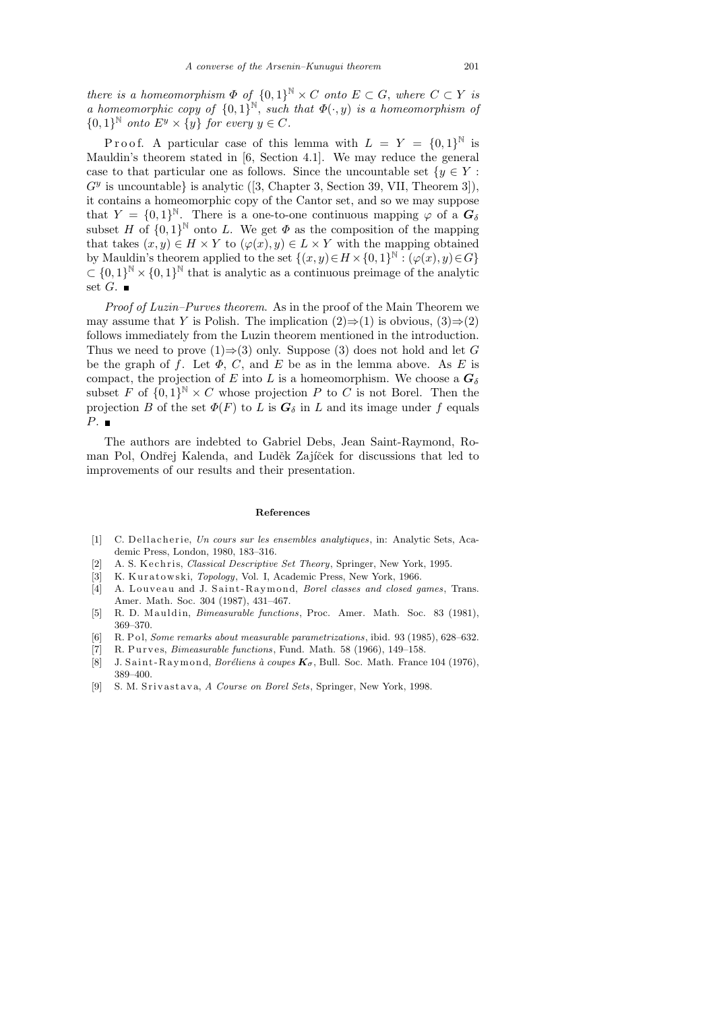P r o o f. A particular case of this lemma with  $L = Y = \{0,1\}^{\mathbb{N}}$  is Mauldin's theorem stated in [6, Section 4.1]. We may reduce the general case to that particular one as follows. Since the uncountable set  $\{y \in Y :$  $G<sup>y</sup>$  is uncountable} is analytic ([3, Chapter 3, Section 39, VII, Theorem 3]), it contains a homeomorphic copy of the Cantor set, and so we may suppose that  $Y = \{0, 1\}^{\mathbb{N}}$ . There is a one-to-one continuous mapping  $\varphi$  of a  $G_{\delta}$ subset H of  $\{0,1\}^{\mathbb{N}}$  onto L. We get  $\Phi$  as the composition of the mapping that takes  $(x, y) \in H \times Y$  to  $(\varphi(x), y) \in L \times Y$  with the mapping obtained by Mauldin's theorem applied to the set  $\{(x, y) \in H \times \{0, 1\}^{\mathbb{N}} : (\varphi(x), y) \in G\}$  $\subset \{0,1\}^{\mathbb{N}} \times \{0,1\}^{\mathbb{N}}$  that is analytic as a continuous preimage of the analytic set  $G$ .

Proof of Luzin–Purves theorem. As in the proof of the Main Theorem we may assume that Y is Polish. The implication  $(2) \Rightarrow (1)$  is obvious,  $(3) \Rightarrow (2)$ follows immediately from the Luzin theorem mentioned in the introduction. Thus we need to prove  $(1) \Rightarrow (3)$  only. Suppose (3) does not hold and let G be the graph of f. Let  $\Phi$ , C, and E be as in the lemma above. As E is compact, the projection of E into L is a homeomorphism. We choose a  $G_{\delta}$ subset F of  $\{0,1\}^{\mathbb{N}} \times C$  whose projection P to C is not Borel. Then the projection B of the set  $\Phi(F)$  to L is  $G_{\delta}$  in L and its image under f equals  $P_{\cdot}$ 

The authors are indebted to Gabriel Debs, Jean Saint-Raymond, Roman Pol, Ondřej Kalenda, and Luděk Zajíček for discussions that led to improvements of our results and their presentation.

## **References**

- [1] C. Dellacherie, *Un cours sur les ensembles analytiques*, in: Analytic Sets, Academic Press, London, 1980, 183–316.
- [2] A. S. K e c h ri s, *Classical Descriptive Set Theory*, Springer, New York, 1995.
- [3] K. Kuratowski, *Topology*, Vol. I, Academic Press, New York, 1966.
- [4] A. Louveau and J. Saint-Raymond, *Borel classes and closed games*, Trans. Amer. Math. Soc. 304 (1987), 431–467.
- [5] R. D. Mauldin, *Bimeasurable functions*, Proc. Amer. Math. Soc. 83 (1981), 369–370.
- [6] R. P ol, *Some remarks about measurable parametrizations*, ibid. 93 (1985), 628–632.
- [7] R. Purves, *Bimeasurable functions*, Fund. Math. 58 (1966), 149-158.
- [8] J. Saint-Raymond, *Boréliens à coupes*  $K_{\sigma}$ , Bull. Soc. Math. France 104 (1976), 389–400.
- [9] S. M. Srivastava, *A Course on Borel Sets*, Springer, New York, 1998.